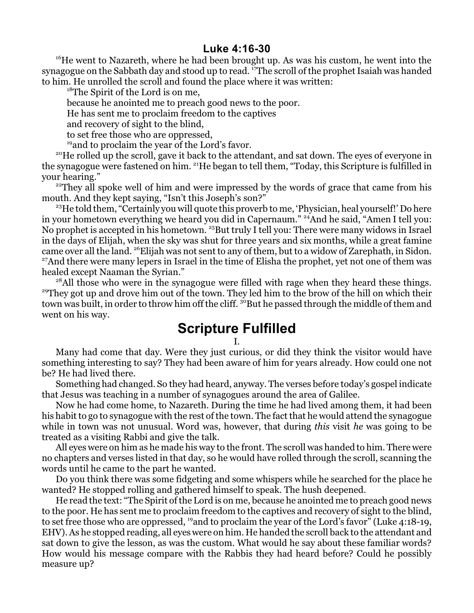## **Luke 4:16-30**

<sup>16</sup>He went to Nazareth, where he had been brought up. As was his custom, he went into the synagogue on the Sabbath day and stood up to read. <sup>17</sup>The scroll of the prophet Isaiah was handed to him. He unrolled the scroll and found the place where it was written:

<sup>18</sup>The Spirit of the Lord is on me,

because he anointed me to preach good news to the poor.

He has sent me to proclaim freedom to the captives

and recovery of sight to the blind,

to set free those who are oppressed,

<sup>19</sup> and to proclaim the year of the Lord's favor.

<sup>20</sup>He rolled up the scroll, gave it back to the attendant, and sat down. The eyes of everyone in the synagogue were fastened on him. <sup>21</sup>He began to tell them, "Today, this Scripture is fulfilled in your hearing."

<sup>22</sup>They all spoke well of him and were impressed by the words of grace that came from his mouth. And they kept saying, "Isn't this Joseph's son?"

<sup>23</sup>He told them, "Certainly you will quote this proverb to me, 'Physician, heal yourself!' Do here in your hometown everything we heard you did in Capernaum." <sup>24</sup>And he said, "Amen I tell you: No prophet is accepted in his hometown. <sup>25</sup>But truly I tell you: There were many widows in Israel in the days of Elijah, when the sky was shut for three years and six months, while a great famine came over all the land. <sup>26</sup>Elijah was not sent to any of them, but to a widow of Zarephath, in Sidon. <sup>27</sup>And there were many lepers in Israel in the time of Elisha the prophet, yet not one of them was healed except Naaman the Syrian."

<sup>28</sup>All those who were in the synagogue were filled with rage when they heard these things. <sup>29</sup>They got up and drove him out of the town. They led him to the brow of the hill on which their town was built, in order to throw him off the cliff.  $^{30}\rm{But}$  he passed through the middle of them and went on his way.

## **Scripture Fulfilled**

I.

Many had come that day. Were they just curious, or did they think the visitor would have something interesting to say? They had been aware of him for years already. How could one not be? He had lived there.

Something had changed. So they had heard, anyway. The verses before today's gospel indicate that Jesus was teaching in a number of synagogues around the area of Galilee.

Now he had come home, to Nazareth. During the time he had lived among them, it had been his habit to go to synagogue with the rest of the town. The fact that he would attend the synagogue while in town was not unusual. Word was, however, that during *this* visit *he* was going to be treated as a visiting Rabbi and give the talk.

All eyes were on him as he made his way to the front. The scroll was handed to him. There were no chapters and verses listed in that day, so he would have rolled through the scroll, scanning the words until he came to the part he wanted.

Do you think there was some fidgeting and some whispers while he searched for the place he wanted? He stopped rolling and gathered himself to speak. The hush deepened.

He read the text: "The Spirit of the Lord is on me, because he anointed me to preach good news to the poor. He has sent me to proclaim freedom to the captives and recovery of sight to the blind, to set free those who are oppressed, <sup>19</sup>and to proclaim the year of the Lord's favor" (Luke 4:18-19, EHV).As he stopped reading, all eyes were on him. He handed the scroll back to the attendant and sat down to give the lesson, as was the custom. What would he say about these familiar words? How would his message compare with the Rabbis they had heard before? Could he possibly measure up?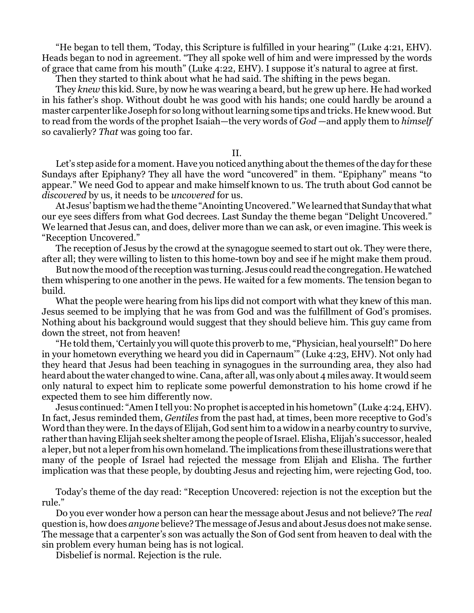"He began to tell them, 'Today, this Scripture is fulfilled in your hearing'" (Luke 4:21, EHV). Heads began to nod in agreement. "They all spoke well of him and were impressed by the words of grace that came from his mouth" (Luke 4:22, EHV). I suppose it's natural to agree at first.

Then they started to think about what he had said. The shifting in the pews began.

They *knew* this kid. Sure, by now he was wearing a beard, but he grew up here. He had worked in his father's shop. Without doubt he was good with his hands; one could hardly be around a master carpenter like Joseph for so long without learning some tips and tricks. He knew wood. But to read from the words of the prophet Isaiah—the very words of *God* —and apply them to *himself* so cavalierly? *That* was going too far.

II.

Let's step aside for a moment. Have you noticed anything about the themes of the day for these Sundays after Epiphany? They all have the word "uncovered" in them. "Epiphany" means "to appear." We need God to appear and make himself known to us. The truth about God cannot be *discovered* by us, it needs to be *uncovered* for us.

At Jesus' baptism we had the theme "Anointing Uncovered." We learned that Sunday that what our eye sees differs from what God decrees. Last Sunday the theme began "Delight Uncovered." We learned that Jesus can, and does, deliver more than we can ask, or even imagine. This week is "Reception Uncovered."

The reception of Jesus by the crowd at the synagogue seemed to start out ok. They were there, after all; they were willing to listen to this home-town boy and see if he might make them proud.

Butnow the mood ofthe reception was turning. Jesus could read the congregation. He watched them whispering to one another in the pews. He waited for a few moments. The tension began to build.

What the people were hearing from his lips did not comport with what they knew of this man. Jesus seemed to be implying that he was from God and was the fulfillment of God's promises. Nothing about his background would suggest that they should believe him. This guy came from down the street, not from heaven!

"He told them, 'Certainly you will quote this proverb to me, "Physician, heal yourself!" Do here in your hometown everything we heard you did in Capernaum'" (Luke 4:23, EHV). Not only had they heard that Jesus had been teaching in synagogues in the surrounding area, they also had heard about the water changed to wine. Cana, after all, was only about 4 miles away. It would seem only natural to expect him to replicate some powerful demonstration to his home crowd if he expected them to see him differently now.

Jesus continued: "Amen I tell you: No prophetis accepted in his hometown" (Luke 4:24, EHV). In fact, Jesus reminded them, *Gentiles* from the past had, at times, been more receptive to God's Word than they were. In the days of Elijah, God sent him to a widow in a nearby country to survive, rather than having Elijah seek shelter among the people of Israel. Elisha, Elijah's successor, healed a leper, but not a leper from his own homeland. The implications from these illustrations were that many of the people of Israel had rejected the message from Elijah and Elisha. The further implication was that these people, by doubting Jesus and rejecting him, were rejecting God, too.

Today's theme of the day read: "Reception Uncovered: rejection is not the exception but the rule."

Do you ever wonder how a person can hear the message about Jesus and not believe? The *real* question is, how does *anyone* believe? The message of Jesus and about Jesus does not make sense. The message that a carpenter's son was actually the Son of God sent from heaven to deal with the sin problem every human being has is not logical.

Disbelief is normal. Rejection is the rule.